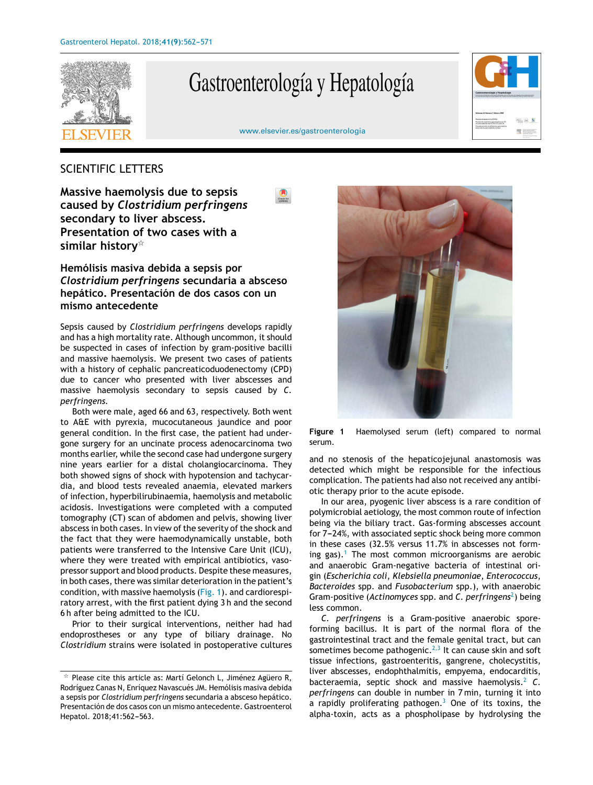

# Gastroenterología y Hepatología



[www.elsevier.es/gastroenterologia](http://www.elsevier.es/gastroenterologia)

## SCIENTIFIC LETTERS

**Massive haemolysis due to sepsis caused by** *Clostridium perfringens* **secondary to liver abscess. Presentation of two cases with a similar history**-

## **Hemólisis masiva debida a sepsis por** *Clostridium perfringens* **secundaria a absceso hepático. Presentación de dos casos con un mismo antecedente**

Sepsis caused by *Clostridium perfringens* develops rapidly and has a high mortality rate. Although uncommon, it should be suspected in cases of infection by gram-positive bacilli and massive haemolysis. We present two cases of patients with a history of cephalic pancreaticoduodenectomy (CPD) due to cancer who presented with liver abscesses and massive haemolysis secondary to sepsis caused by *C. perfringens.*

Both were male, aged 66 and 63, respectively. Both went to A&E with pyrexia, mucocutaneous jaundice and poor general condition. In the first case, the patient had undergone surgery for an uncinate process adenocarcinoma two months earlier, while the second case had undergone surgery nine years earlier for a distal cholangiocarcinoma. They both showed signs of shock with hypotension and tachycardia, and blood tests revealed anaemia, elevated markers of infection, hyperbilirubinaemia, haemolysis and metabolic acidosis. Investigations were completed with a computed tomography (CT) scan of abdomen and pelvis, showing liver abscess in both cases. In view of the severity of the shock and the fact that they were haemodynamically unstable, both patients were transferred to the Intensive Care Unit (ICU), where they were treated with empirical antibiotics, vasopressor support and blood products. Despite these measures, in both cases, there was similar deterioration in the patient's condition, with massive haemolysis (Fig. 1). and cardiorespiratory arrest, with the first patient dying 3 h and the second 6 h after being admitted to the ICU.

Prior to their surgical interventions, neither had had endoprostheses or any type of biliary drainage. No *Clostridium* strains were isolated in postoperative cultures



**Figure 1** Haemolysed serum (left) compared to normal serum.

and no stenosis of the hepaticojejunal anastomosis was detected which might be responsible for the infectious complication. The patients had also not received any antibiotic therapy prior to the acute episode.

In our area, pyogenic liver abscess is a rare condition of polymicrobial aetiology, the most common route of infection being via the biliary tract. Gas-forming abscesses account for 7-24%, with associated septic shock being more common in these cases (32.5% versus 11.7% in abscesses not form-ing gas).<sup>[1](#page-1-0)</sup> The most common microorganisms are aerobic and anaerobic Gram-negative bacteria of intestinal origin (*Escherichia coli*, *Klebsiella pneumoniae*, *Enterococcus*, *Bacteroides* spp. and *Fusobacterium* spp.), with anaerobic Gram-positive (Actinomyces spp. and C. perfringens<sup>2</sup>[\)](#page-1-0) being less common.

*C. perfringens* is a Gram-positive anaerobic sporeforming bacillus. It is part of the normal flora of the gastrointestinal tract and the female genital tract, but can sometimes become pathogenic.<sup>[2,3](#page-1-0)</sup> It can cause skin and soft tissue infections, gastroenteritis, gangrene, cholecystitis, liver abscesses, endophthalmitis, empyema, endocarditis, bacteraemia, septic shock and massive haemolysis.<sup>[2](#page-1-0)</sup> C. *perfringens* can double in number in 7 min, turning it into a rapidly proliferating pathogen.<sup>[3](#page-1-0)</sup> One of its toxins, the alpha-toxin, acts as a phospholipase by hydrolysing the

 $*$  Please cite this article as: Martí Gelonch L, Jiménez Agüero R, Rodríguez Canas N, Enríquez Navascués JM. Hemólisis masiva debida a sepsis por *Clostridium perfringens* secundaria a absceso hepático. Presentación de dos casos con un mismo antecedente. Gastroenterol Hepatol. 2018;41:562-563.